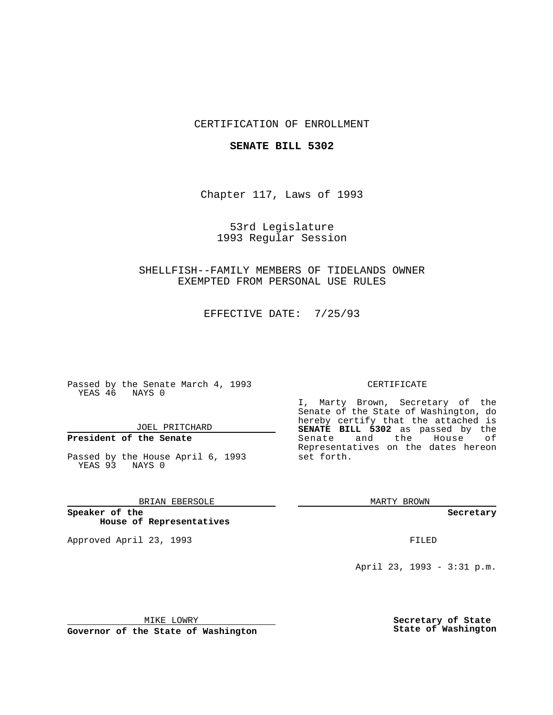## CERTIFICATION OF ENROLLMENT

### **SENATE BILL 5302**

Chapter 117, Laws of 1993

53rd Legislature 1993 Regular Session

SHELLFISH--FAMILY MEMBERS OF TIDELANDS OWNER EXEMPTED FROM PERSONAL USE RULES

EFFECTIVE DATE: 7/25/93

Passed by the Senate March 4, 1993 YEAS 46 NAYS 0

JOEL PRITCHARD

# **President of the Senate**

Passed by the House April 6, 1993 YEAS 93 NAYS 0

BRIAN EBERSOLE

**Speaker of the House of Representatives**

Approved April 23, 1993 **FILED** 

#### CERTIFICATE

I, Marty Brown, Secretary of the Senate of the State of Washington, do hereby certify that the attached is **SENATE BILL 5302** as passed by the Senate and the House of Representatives on the dates hereon set forth.

MARTY BROWN

**Secretary**

April 23, 1993 - 3:31 p.m.

MIKE LOWRY

**Governor of the State of Washington**

**Secretary of State State of Washington**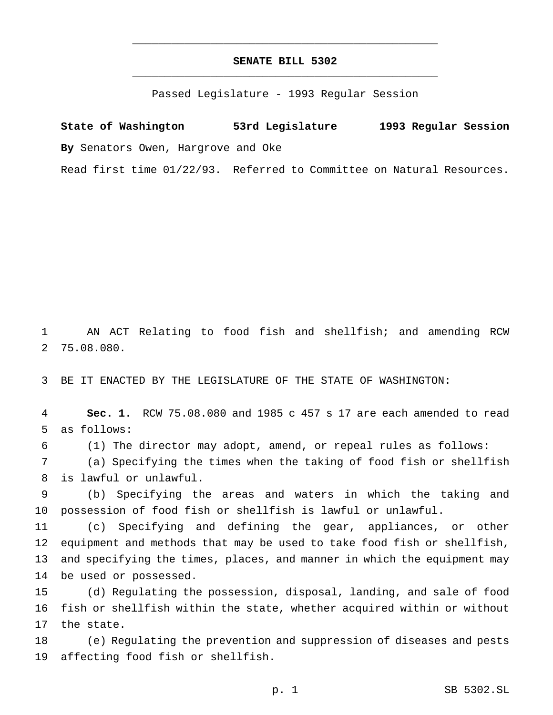## **SENATE BILL 5302** \_\_\_\_\_\_\_\_\_\_\_\_\_\_\_\_\_\_\_\_\_\_\_\_\_\_\_\_\_\_\_\_\_\_\_\_\_\_\_\_\_\_\_\_\_\_\_

\_\_\_\_\_\_\_\_\_\_\_\_\_\_\_\_\_\_\_\_\_\_\_\_\_\_\_\_\_\_\_\_\_\_\_\_\_\_\_\_\_\_\_\_\_\_\_

Passed Legislature - 1993 Regular Session

**State of Washington 53rd Legislature 1993 Regular Session By** Senators Owen, Hargrove and Oke

Read first time 01/22/93. Referred to Committee on Natural Resources.

 AN ACT Relating to food fish and shellfish; and amending RCW 75.08.080.

BE IT ENACTED BY THE LEGISLATURE OF THE STATE OF WASHINGTON:

 **Sec. 1.** RCW 75.08.080 and 1985 c 457 s 17 are each amended to read as follows:

(1) The director may adopt, amend, or repeal rules as follows:

 (a) Specifying the times when the taking of food fish or shellfish is lawful or unlawful.

 (b) Specifying the areas and waters in which the taking and possession of food fish or shellfish is lawful or unlawful.

 (c) Specifying and defining the gear, appliances, or other equipment and methods that may be used to take food fish or shellfish, and specifying the times, places, and manner in which the equipment may be used or possessed.

 (d) Regulating the possession, disposal, landing, and sale of food fish or shellfish within the state, whether acquired within or without the state.

 (e) Regulating the prevention and suppression of diseases and pests affecting food fish or shellfish.